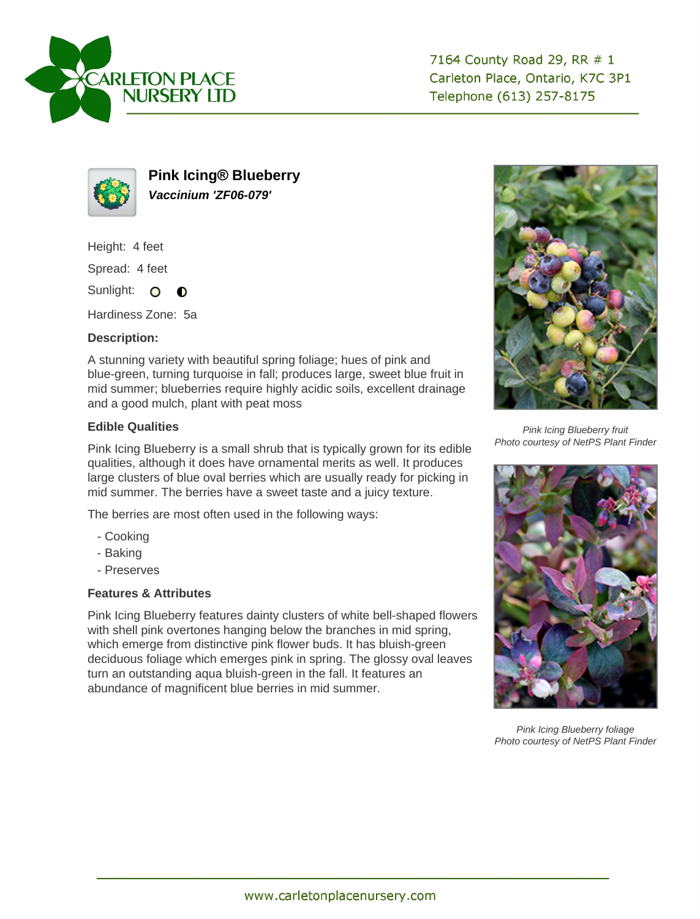



**Pink Icing® Blueberry Vaccinium 'ZF06-079'**

Height: 4 feet

Spread: 4 feet

Sunlight: O  $\bullet$ 

Hardiness Zone: 5a

## **Description:**

A stunning variety with beautiful spring foliage; hues of pink and blue-green, turning turquoise in fall; produces large, sweet blue fruit in mid summer; blueberries require highly acidic soils, excellent drainage and a good mulch, plant with peat moss

## **Edible Qualities**

Pink Icing Blueberry is a small shrub that is typically grown for its edible qualities, although it does have ornamental merits as well. It produces large clusters of blue oval berries which are usually ready for picking in mid summer. The berries have a sweet taste and a juicy texture.

The berries are most often used in the following ways:

- Cooking
- Baking
- Preserves

## **Features & Attributes**

Pink Icing Blueberry features dainty clusters of white bell-shaped flowers with shell pink overtones hanging below the branches in mid spring, which emerge from distinctive pink flower buds. It has bluish-green deciduous foliage which emerges pink in spring. The glossy oval leaves turn an outstanding aqua bluish-green in the fall. It features an abundance of magnificent blue berries in mid summer.



Pink Icing Blueberry fruit Photo courtesy of NetPS Plant Finder



Pink Icing Blueberry foliage Photo courtesy of NetPS Plant Finder